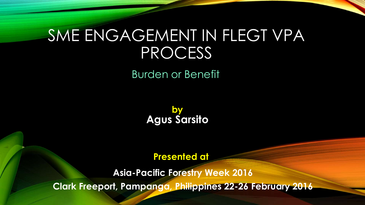# SME ENGAGEMENT IN FLEGT VPA PROCESS

Burden or Benefit

**by Agus Sarsito**

#### **Presented at**

**Asia-Pacific Forestry Week 2016 Clark Freeport, Pampanga, Philippines 22-26 February 2016**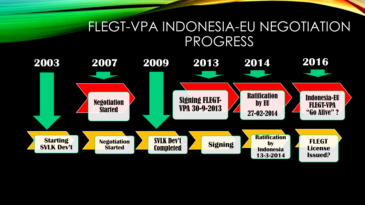#### FLEGT-VPA INDONESIA-EU NEGOTIATION PROGRESS

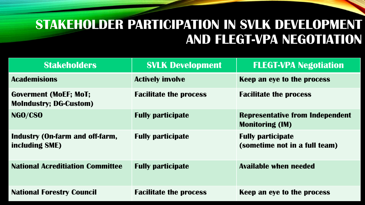### **STAKEHOLDER PARTICIPATION IN SVLK DEVELOPMENT AND FLEGT-VPA NEGOTIATION**

| <b>Stakeholders</b>                                           | <b>SVLK Development</b>       | <b>FLEGT-VPA Negotiation</b>                                     |
|---------------------------------------------------------------|-------------------------------|------------------------------------------------------------------|
| <b>Academisions</b>                                           | <b>Actively involve</b>       | Keep an eye to the process                                       |
| <b>Goverment (MoEF; MoT;</b><br><b>MoIndustry; DG-Custom)</b> | <b>Facilitate the process</b> | <b>Facilitate the process</b>                                    |
| NGO/CSO                                                       | <b>Fully participate</b>      | <b>Representative from Independent</b><br><b>Monitoring (IM)</b> |
| <b>Industry (On-farm and off-farm,</b><br>including SME)      | <b>Fully participate</b>      | <b>Fully participate</b><br>(sometime not in a full team)        |
| <b>National Acreditiation Committee</b>                       | <b>Fully participate</b>      | <b>Available when needed</b>                                     |
| <b>National Forestry Council</b>                              | <b>Facilitate the process</b> | Keep an eye to the process                                       |